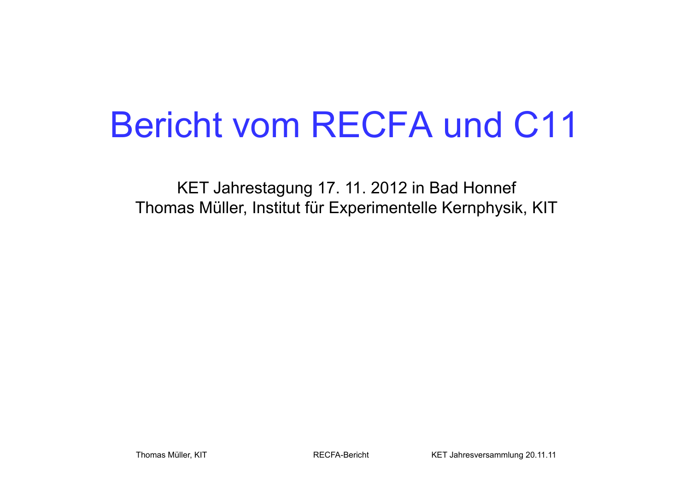# Bericht vom RECFA und C11

KET Jahrestagung 17. 11. 2012 in Bad Honnef Thomas Müller, Institut für Experimentelle Kernphysik, KIT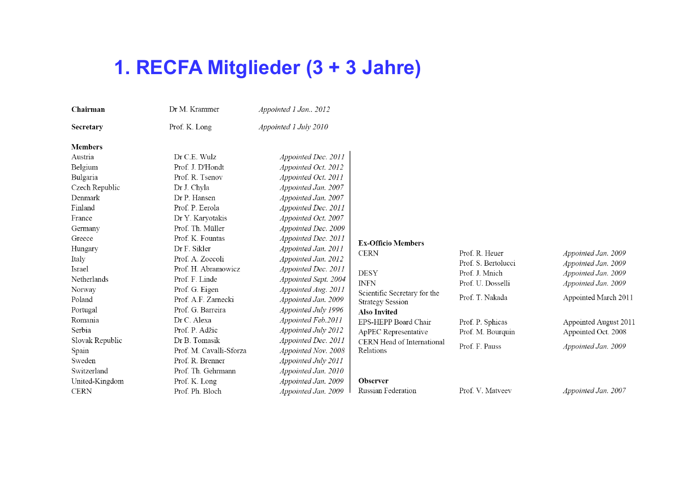# **1. RECFA Mitglieder (3 + 3 Jahre)**

| Chairman        | Dr M. Krammer           | Appointed 1 Jan 2012  |                              |                     |                       |
|-----------------|-------------------------|-----------------------|------------------------------|---------------------|-----------------------|
| Secretary       | Prof. K. Long           | Appointed 1 July 2010 |                              |                     |                       |
| <b>Members</b>  |                         |                       |                              |                     |                       |
| Austria         | Dr C.E. Wulz            | Appointed Dec. 2011   |                              |                     |                       |
| Belgium         | Prof. J. D'Hondt        | Appointed Oct. 2012   |                              |                     |                       |
| Bulgaria        | Prof. R. Tsenov         | Appointed Oct. 2011   |                              |                     |                       |
| Czech Republic  | Dr J. Chyla             | Appointed Jan. 2007   |                              |                     |                       |
| Denmark         | Dr P. Hansen            | Appointed Jan. 2007   |                              |                     |                       |
| Finland         | Prof. P. Eerola         | Appointed Dec. 2011   |                              |                     |                       |
| France          | Dr Y. Karyotakis        | Appointed Oct. 2007   |                              |                     |                       |
| Germany         | Prof. Th. Müller        | Appointed Dec. 2009   |                              |                     |                       |
| Greece          | Prof. K. Fountas        | Appointed Dec. 2011   | <b>Ex-Officio Members</b>    |                     |                       |
| Hungary         | Dr F. Sikler            | Appointed Jan. 2011   | <b>CERN</b>                  | Prof. R. Heuer      | Appointed Jan. 2009   |
| Italy           | Prof. A. Zoccoli        | Appointed Jan. 2012   |                              | Prof. S. Bertolucci | Appointed Jan. 2009   |
| Israel          | Prof. H. Abramowicz     | Appointed Dec. 2011   | <b>DESY</b>                  | Prof. J. Mnich      | Appointed Jan. 2009   |
| Netherlands     | Prof. F. Linde          | Appointed Sept. 2004  | <b>INFN</b>                  | Prof. U. Dosselli   | Appointed Jan. 2009   |
| Norway          | Prof. G. Eigen          | Appointed Aug. 2011   | Scientific Secretary for the |                     |                       |
| Poland          | Prof. A.F. Zarnecki     | Appointed Jan. 2009   | <b>Strategy Session</b>      | Prof. T. Nakada     | Appointed March 2011  |
| Portugal        | Prof. G. Barreira       | Appointed July 1996   | <b>Also Invited</b>          |                     |                       |
| Romania         | Dr C. Alexa             | Appointed Feb.2011    | EPS-HEPP Board Chair         | Prof. P. Sphicas    | Appointed August 2011 |
| Serbia          | Prof. P. Adžic          | Appointed July 2012   | ApPEC Representative         | Prof. M. Bourquin   | Appointed Oct. 2008   |
| Slovak Republic | Dr B. Tomasik           | Appointed Dec. 2011   | CERN Head of International   | Prof. F. Pauss      |                       |
| Spain           | Prof. M. Cavalli-Sforza | Appointed Nov. 2008   | Relations                    |                     | Appointed Jan. 2009   |
| Sweden          | Prof. R. Brenner        | Appointed July 2011   |                              |                     |                       |
| Switzerland     | Prof. Th. Gehrmann      | Appointed Jan. 2010   |                              |                     |                       |
| United-Kingdom  | Prof. K. Long           | Appointed Jan. 2009   | Observer                     |                     |                       |
| <b>CERN</b>     | Prof. Ph. Bloch         | Appointed Jan. 2009   | Russian Federation           | Prof. V. Matveev    | Appointed Jan. 2007   |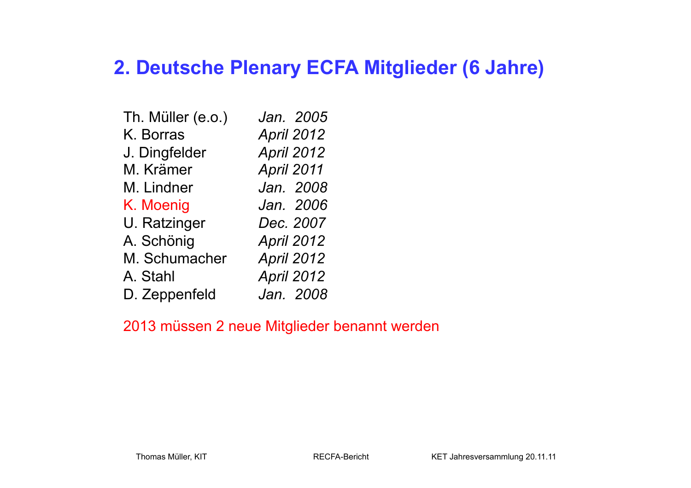### **2. Deutsche Plenary ECFA Mitglieder (6 Jahre)**

| Th. Müller (e.o.) | Jan. 2005         |
|-------------------|-------------------|
| K. Borras         | <b>April 2012</b> |
| J. Dingfelder     | April 2012        |
| M. Krämer         | April 2011        |
| M. Lindner        | Jan. 2008         |
| K. Moenig         | Jan. 2006         |
| U. Ratzinger      | Dec. 2007         |
| A. Schönig        | April 2012        |
| M. Schumacher     | April 2012        |
| A. Stahl          | April 2012        |
| D. Zeppenfeld     | Jan. 2008         |

#### 2013 müssen 2 neue Mitglieder benannt werden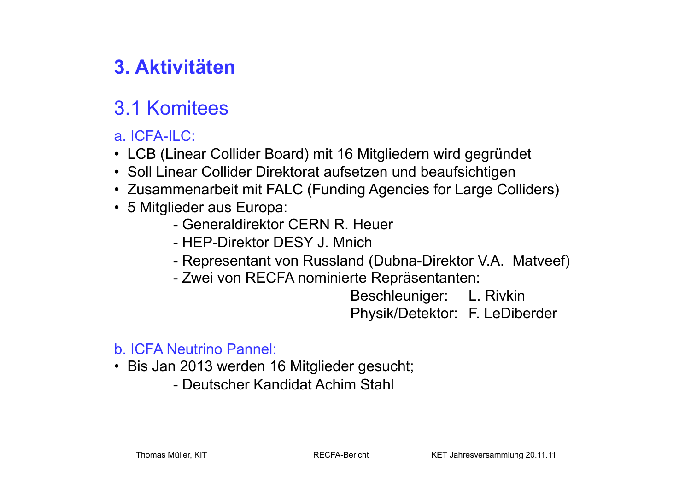## **3. Aktivitäten**

### 3.1 Komitees

### a. ICFA-ILC:

- LCB (Linear Collider Board) mit 16 Mitgliedern wird gegründet
- Soll Linear Collider Direktorat aufsetzen und beaufsichtigen
- Zusammenarbeit mit FALC (Funding Agencies for Large Colliders)
- 5 Mitglieder aus Europa:
	- Generaldirektor CERN R. Heuer
	- HEP-Direktor DESY J. Mnich
	- Representant von Russland (Dubna-Direktor V.A. Matveef)
	- Zwei von RECFA nominierte Repräsentanten:

 Beschleuniger: L. Rivkin Physik/Detektor: F. LeDiberder

#### b. ICFA Neutrino Pannel:

- Bis Jan 2013 werden 16 Mitglieder gesucht;
	- Deutscher Kandidat Achim Stahl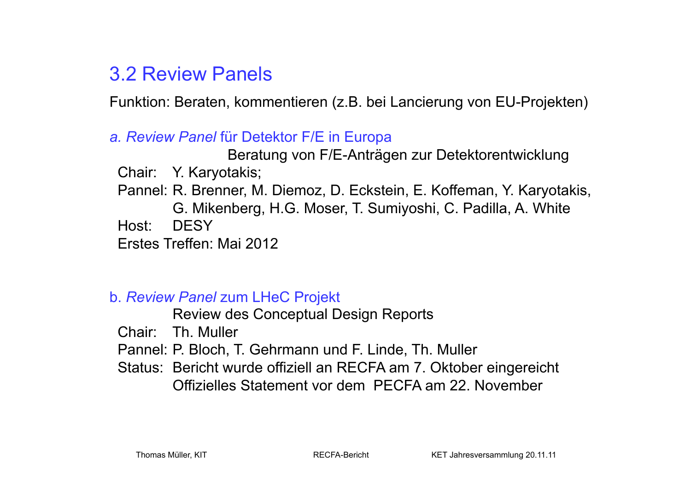### 3.2 Review Panels

Funktion: Beraten, kommentieren (z.B. bei Lancierung von EU-Projekten)

### *a. Review Panel* für Detektor F/E in Europa

 Beratung von F/E-Anträgen zur Detektorentwicklung Chair: Y. Karyotakis; Pannel: R. Brenner, M. Diemoz, D. Eckstein, E. Koffeman, Y. Karyotakis, G. Mikenberg, H.G. Moser, T. Sumiyoshi, C. Padilla, A. White Host: DESY Erstes Treffen: Mai 2012

#### b. *Review Panel* zum LHeC Projekt

Review des Conceptual Design Reports

Chair: Th. Muller

Pannel: P. Bloch, T. Gehrmann und F. Linde, Th. Muller

 Status: Bericht wurde offiziell an RECFA am 7. Oktober eingereicht Offizielles Statement vor dem PECFA am 22. November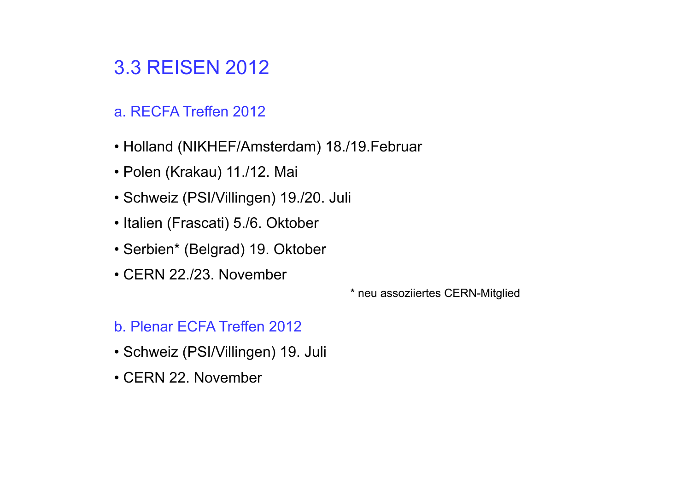### 3.3 REISEN 2012

- a. RECFA Treffen 2012
- Holland (NIKHEF/Amsterdam) 18./19.Februar
- Polen (Krakau) 11./12. Mai
- Schweiz (PSI/Villingen) 19./20. Juli
- Italien (Frascati) 5./6. Oktober
- Serbien\* (Belgrad) 19. Oktober
- CERN 22./23. November

\* neu assoziiertes CERN-Mitglied

#### b. Plenar ECFA Treffen 2012

- Schweiz (PSI/Villingen) 19. Juli
- CERN 22. November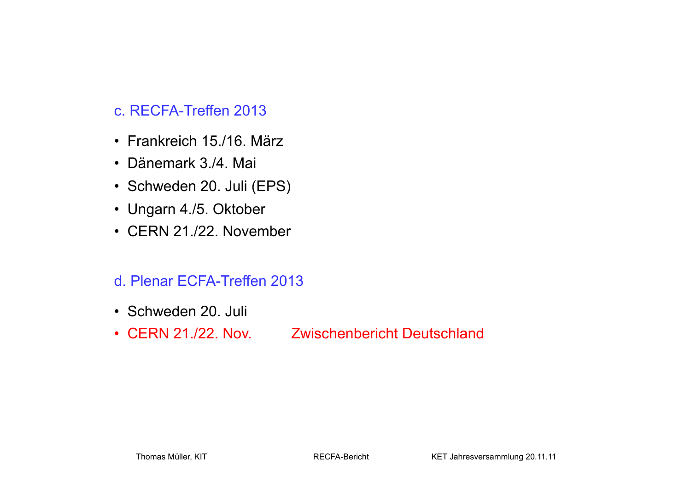### c. RECFA-Treffen 2013

- Frankreich 15./16. März
- Dänemark 3./4. Mai
- Schweden 20. Juli (EPS)
- Ungarn 4./5. Oktober
- CERN 21./22. November

### d. Plenar ECFA-Treffen 2013

- Schweden 20. Juli
- CERN 21./22. Nov. Zwischenbericht Deutschland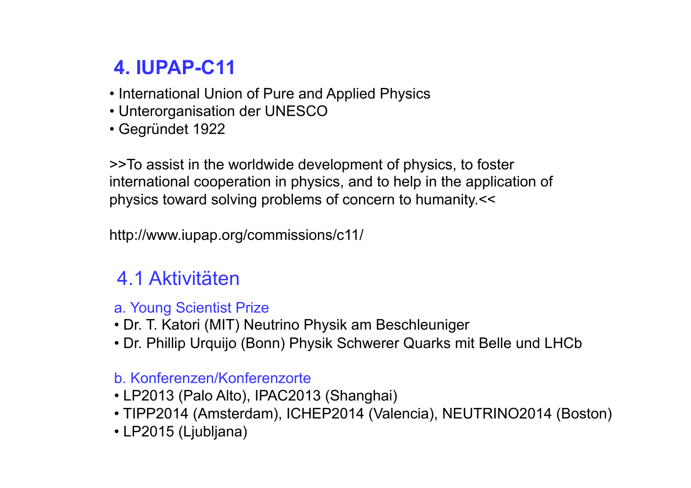# **4. IUPAP-C11**

- International Union of Pure and Applied Physics
- Unterorganisation der UNESCO
- Gegründet 1922

>>To assist in the worldwide development of physics, to foster international cooperation in physics, and to help in the application of physics toward solving problems of concern to humanity.<<

http://www.iupap.org/commissions/c11/

### 4.1 Aktivitäten

### a. Young Scientist Prize

- Dr. T. Katori (MIT) Neutrino Physik am Beschleuniger
- Dr. Phillip Urquijo (Bonn) Physik Schwerer Quarks mit Belle und LHCb

### b. Konferenzen/Konferenzorte

- LP2013 (Palo Alto), IPAC2013 (Shanghai)
- TIPP2014 (Amsterdam), ICHEP2014 (Valencia), NEUTRINO2014 (Boston)
- LP2015 (Ljubljana)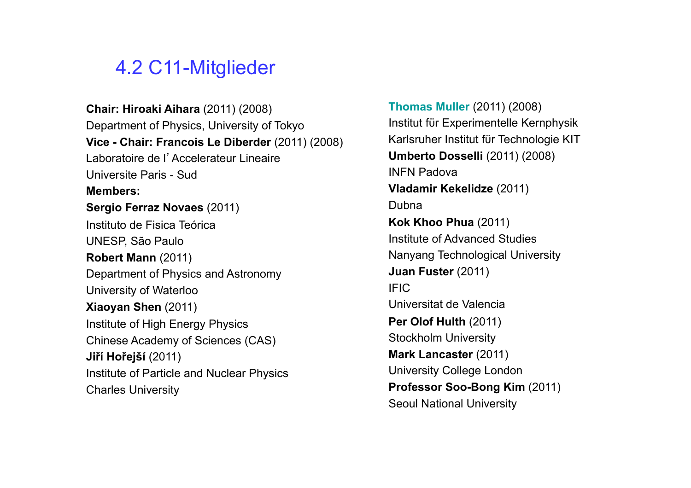### 4.2 C11-Mitglieder

**Chair: Hiroaki Aihara** (2011) (2008) Department of Physics, University of Tokyo **Vice - Chair: Francois Le Diberder** (2011) (2008) Laboratoire de l'Accelerateur Lineaire Universite Paris - Sud **Members: Sergio Ferraz Novaes** (2011) Instituto de Fisica Teórica UNESP, São Paulo **Robert Mann** (2011) Department of Physics and Astronomy University of Waterloo **Xiaoyan Shen** (2011) Institute of High Energy Physics Chinese Academy of Sciences (CAS) **Jiří Hořejší** (2011) Institute of Particle and Nuclear Physics Charles University

**Thomas Muller** (2011) (2008) Institut fϋr Experimentelle Kernphysik Karlsruher Institut fϋr Technologie KIT **Umberto Dosselli** (2011) (2008) INFN Padova **Vladamir Kekelidze** (2011) Dubna **Kok Khoo Phua** (2011) Institute of Advanced Studies Nanyang Technological University **Juan Fuster** (2011) IFIC Universitat de Valencia **Per Olof Hulth** (2011) Stockholm University **Mark Lancaster** (2011) University College London **Professor Soo-Bong Kim** (2011) Seoul National University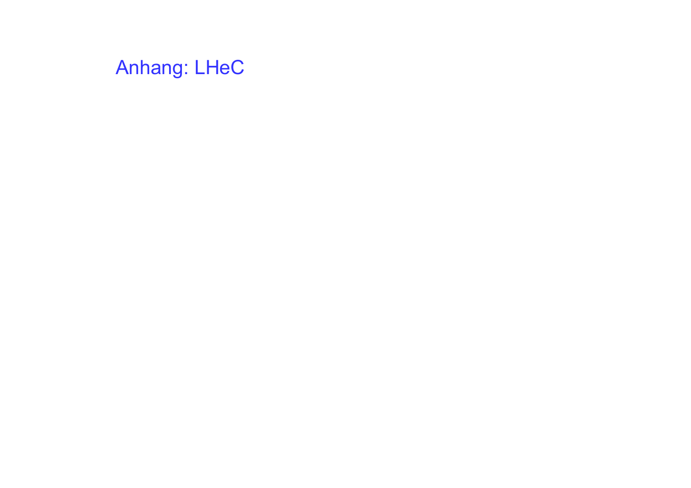# Anhang: LHeC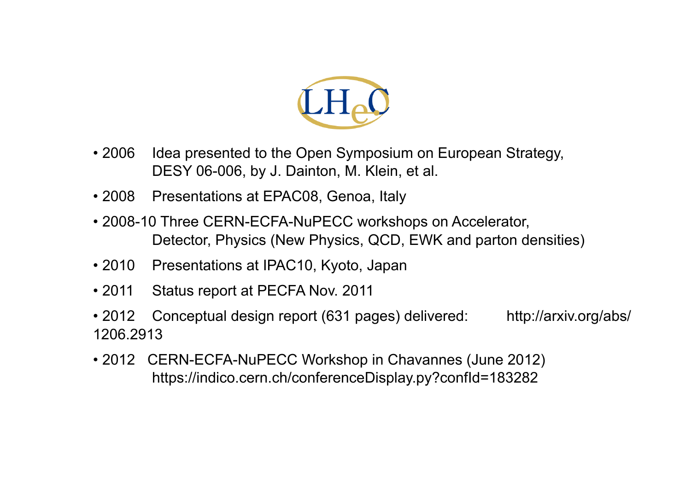

- 2006 Idea presented to the Open Symposium on European Strategy, DESY 06-006, by J. Dainton, M. Klein, et al.
- 2008 Presentations at EPAC08, Genoa, Italy
- 2008-10 Three CERN-ECFA-NuPECC workshops on Accelerator, Detector, Physics (New Physics, QCD, EWK and parton densities)
- 2010 Presentations at IPAC10, Kyoto, Japan
- 2011 Status report at PECFA Nov. 2011
- 2012 Conceptual design report (631 pages) delivered: http://arxiv.org/abs/ 1206.2913
- 2012 CERN-ECFA-NuPECC Workshop in Chavannes (June 2012) https://indico.cern.ch/conferenceDisplay.py?confId=183282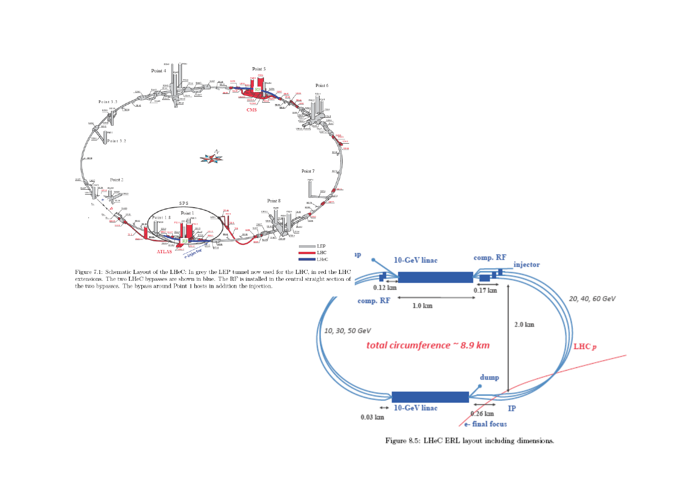

Figure 8.5: LHeC ERL layout including dimensions.